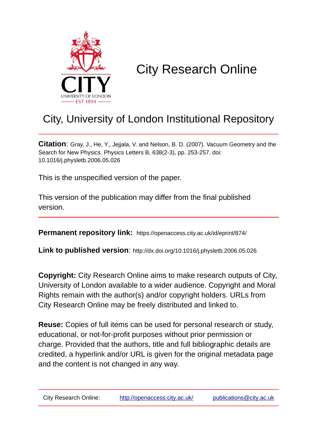

# City Research Online

## City, University of London Institutional Repository

**Citation**: Gray, J., He, Y., Jejjala, V. and Nelson, B. D. (2007). Vacuum Geometry and the Search for New Physics. Physics Letters B, 638(2-3), pp. 253-257. doi: 10.1016/j.physletb.2006.05.026

This is the unspecified version of the paper.

This version of the publication may differ from the final published version.

**Permanent repository link:** https://openaccess.city.ac.uk/id/eprint/874/

**Link to published version**: http://dx.doi.org/10.1016/j.physletb.2006.05.026

**Copyright:** City Research Online aims to make research outputs of City, University of London available to a wider audience. Copyright and Moral Rights remain with the author(s) and/or copyright holders. URLs from City Research Online may be freely distributed and linked to.

**Reuse:** Copies of full items can be used for personal research or study, educational, or not-for-profit purposes without prior permission or charge. Provided that the authors, title and full bibliographic details are credited, a hyperlink and/or URL is given for the original metadata page and the content is not changed in any way.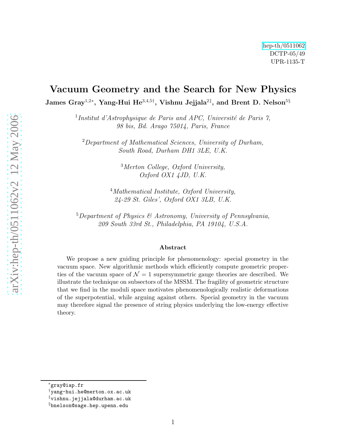#### Vacuum Geometry and the Search for New Physics

James Gray $^{1,2*},$  Yang-Hui He $^{3,4,5\dagger},$  Vishnu Jejjala $^{2\ddagger},$  and Brent D. Nelson $^{5\S}$ 

<sup>1</sup>Institut d'Astrophysique de Paris and APC, Université de Paris 7, 98 bis, Bd. Arago 75014, Paris, France

 $2$ Department of Mathematical Sciences, University of Durham, South Road, Durham DH1 3LE, U.K.

> <sup>3</sup>Merton College, Oxford University, Oxford OX1 4JD, U.K.

<sup>4</sup>Mathematical Institute, Oxford University, 24-29 St. Giles', Oxford OX1 3LB, U.K.

 $5$ Department of Physics & Astronomy, University of Pennsylvania, 209 South 33rd St., Philadelphia, PA 19104, U.S.A.

#### Abstract

We propose a new guiding principle for phenomenology: special geometry in the vacuum space. New algorithmic methods which efficiently compute geometric properties of the vacuum space of  $\mathcal{N}=1$  supersymmetric gauge theories are described. We illustrate the technique on subsectors of the MSSM. The fragility of geometric structure that we find in the moduli space motivates phenomenologically realistic deformations of the superpotential, while arguing against others. Special geometry in the vacuum may therefore signal the presence of string physics underlying the low-energy effective theory.

<sup>∗</sup>gray@iap.fr

<sup>†</sup>yang-hui.he@merton.ox.ac.uk

<sup>‡</sup>vishnu.jejjala@durham.ac.uk

<sup>§</sup>bnelson@sage.hep.upenn.edu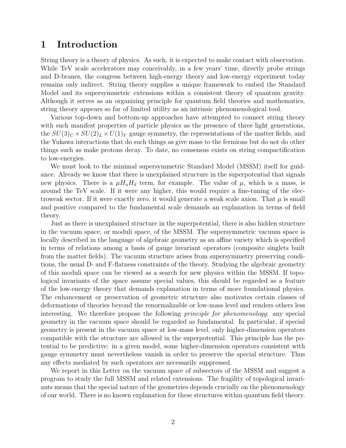#### 1 Introduction

String theory is a theory of physics. As such, it is expected to make contact with observation. While TeV scale accelerators may conceivably, in a few years' time, directly probe strings and D-branes, the congress between high-energy theory and low-energy experiment today remains only indirect. String theory supplies a unique framework to embed the Standard Model and its supersymmetric extensions within a consistent theory of quantum gravity. Although it serves as an organizing principle for quantum field theories and mathematics, string theory appears so far of limited utility as an intrinsic phenomenological tool.

Various top-down and bottom-up approaches have attempted to connect string theory with such manifest properties of particle physics as the presence of three light generations, the  $SU(3)_C \times SU(2)_L \times U(1)_Y$  gauge symmetry, the representations of the matter fields, and the Yukawa interactions that do such things as give mass to the fermions but do not do other things such as make protons decay. To date, no consensus exists on string compactification to low-energies.

We must look to the minimal supersymmetric Standard Model (MSSM) itself for guidance. Already we know that there is unexplained structure in the superpotential that signals new physics. There is a  $\mu H_u H_d$  term, for example. The value of  $\mu$ , which is a mass, is around the TeV scale. If it were any higher, this would require a fine-tuning of the electroweak sector. If it were exactly zero, it would generate a weak scale axion. That  $\mu$  is small and positive compared to the fundamental scale demands an explanation in terms of field theory.

Just as there is unexplained structure in the superpotential, there is also hidden structure in the vacuum space, or moduli space, of the MSSM. The supersymmetric vacuum space is locally described in the language of algebraic geometry as an affine variety which is specified in terms of relations among a basis of gauge invariant operators (composite singlets built from the matter fields). The vacuum structure arises from supersymmetry preserving conditions, the usual D- and F-flatness constraints of the theory. Studying the algebraic geometry of this moduli space can be viewed as a search for new physics within the MSSM. If topological invariants of the space assume special values, this should be regarded as a feature of the low-energy theory that demands explanation in terms of more foundational physics. The enhancement or preservation of geometric structure also motivates certain classes of deformations of theories beyond the renormalizable or low-mass level and renders others less interesting. We therefore propose the following *principle for phenomenology*: any special geometry in the vacuum space should be regarded as fundamental. In particular, if special geometry is present in the vacuum space at low-mass level, only higher-dimension operators compatible with the structure are allowed in the superpotential. This principle has the potential to be predictive: in a given model, some higher-dimension operators consistent with gauge symmetry must nevertheless vanish in order to preserve the special structure. Thus any effects mediated by such operators are necessarily suppressed.

We report in this Letter on the vacuum space of subsectors of the MSSM and suggest a program to study the full MSSM and related extensions. The fragility of topological invariants means that the special nature of the geometries depends crucially on the phenomenology of our world. There is no known explanation for these structures within quantum field theory.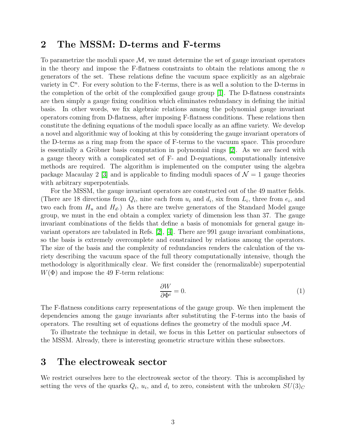#### 2 The MSSM: D-terms and F-terms

To parametrize the moduli space  $\mathcal{M}$ , we must determine the set of gauge invariant operators in the theory and impose the F-flatness constraints to obtain the relations among the  $n$ generators of the set. These relations define the vacuum space explicitly as an algebraic variety in  $\mathbb{C}^n$ . For every solution to the F-terms, there is as well a solution to the D-terms in the completion of the orbit of the complexified gauge group [\[1\]](#page-8-0). The D-flatness constraints are then simply a gauge fixing condition which eliminates redundancy in defining the initial basis. In other words, we fix algebraic relations among the polynomial gauge invariant operators coming from D-flatness, after imposing F-flatness conditions. These relations then constitute the defining equations of the moduli space locally as an affine variety. We develop a novel and algorithmic way of looking at this by considering the gauge invariant operators of the D-terms as a ring map from the space of F-terms to the vacuum space. This procedure is essentially a Gröbner basis computation in polynomial rings  $[2]$ . As we are faced with a gauge theory with a complicated set of F- and D-equations, computationally intensive methods are required. The algorithm is implemented on the computer using the algebra package Macaulay 2 [\[3\]](#page-8-2) and is applicable to finding moduli spaces of  $\mathcal{N} = 1$  gauge theories with arbitrary superpotentials.

For the MSSM, the gauge invariant operators are constructed out of the 49 matter fields. (There are 18 directions from  $Q_i$ , nine each from  $u_i$  and  $d_i$ , six from  $L_i$ , three from  $e_i$ , and two each from  $H_u$  and  $H_d$ .) As there are twelve generators of the Standard Model gauge group, we must in the end obtain a complex variety of dimension less than 37. The gauge invariant combinations of the fields that define a basis of monomials for general gauge invariant operators are tabulated in Refs. [\[2\]](#page-8-1), [\[4\]](#page-8-3). There are 991 gauge invariant combinations, so the basis is extremely overcomplete and constrained by relations among the operators. The size of the basis and the complexity of redundancies renders the calculation of the variety describing the vacuum space of the full theory computationally intensive, though the methodology is algorithmically clear. We first consider the (renormalizable) superpotential  $W(\Phi)$  and impose the 49 F-term relations:

$$
\frac{\partial W}{\partial \Phi^i} = 0. \tag{1}
$$

The F-flatness conditions carry representations of the gauge group. We then implement the dependencies among the gauge invariants after substituting the F-terms into the basis of operators. The resulting set of equations defines the geometry of the moduli space  $\mathcal{M}$ .

To illustrate the technique in detail, we focus in this Letter on particular subsectors of the MSSM. Already, there is interesting geometric structure within these subsectors.

#### 3 The electroweak sector

We restrict ourselves here to the electroweak sector of the theory. This is accomplished by setting the vevs of the quarks  $Q_i$ ,  $u_i$ , and  $d_i$  to zero, consistent with the unbroken  $SU(3)_C$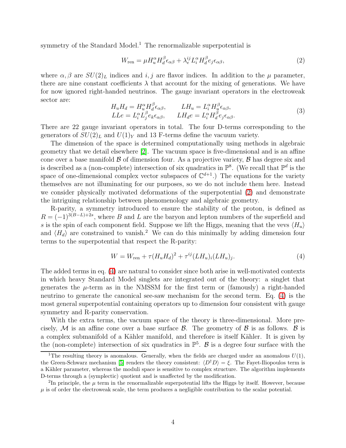symmetry of the Standard Model.<sup>1</sup> The renormalizable superpotential is

<span id="page-4-0"></span>
$$
W_{\rm ren} = \mu H_u^{\alpha} H_d^{\beta} \epsilon_{\alpha\beta} + \lambda_e^{ij} L_i^{\alpha} H_d^{\beta} e_j \epsilon_{\alpha\beta},\tag{2}
$$

where  $\alpha, \beta$  are  $SU(2)_L$  indices and i, j are flavor indices. In addition to the  $\mu$  parameter, there are nine constant coefficients  $\lambda$  that account for the mixing of generations. We have for now ignored right-handed neutrinos. The gauge invariant operators in the electroweak sector are:

$$
H_u H_d = H_u^{\alpha} H_d^{\beta} \epsilon_{\alpha\beta}, \qquad LH_u = L_i^{\alpha} H_u^{\beta} \epsilon_{\alpha\beta},
$$
  
\n
$$
LLe = L_i^{\alpha} L_j^{\beta} e_k \epsilon_{\alpha\beta}, \qquad LH_d e = L_i^{\alpha} H_d^{\beta} e_j \epsilon_{\alpha\beta}.
$$
\n(3)

There are 22 gauge invariant operators in total. The four D-terms corresponding to the generators of  $SU(2)_L$  and  $U(1)_Y$  and 13 F-terms define the vacuum variety.

The dimension of the space is determined computationally using methods in algebraic geometry that we detail elsewhere [\[2\]](#page-8-1). The vacuum space is five-dimensional and is an affine cone over a base manifold  $\beta$  of dimension four. As a projective variety,  $\beta$  has degree six and is described as a (non-complete) intersection of six quadratics in  $\mathbb{P}^8$ . (We recall that  $\mathbb{P}^d$  is the space of one-dimensional complex vector subspaces of  $\mathbb{C}^{d+1}$ .) The equations for the variety themselves are not illuminating for our purposes, so we do not include them here. Instead we consider physically motivated deformations of the superpotential [\(2\)](#page-4-0) and demonstrate the intriguing relationship between phenomenology and algebraic geometry.

R-parity, a symmetry introduced to ensure the stability of the proton, is defined as  $R = (-1)^{3(B-L)+2s}$ , where B and L are the baryon and lepton numbers of the superfield and s is the spin of each component field. Suppose we lift the Higgs, meaning that the vevs  $\langle H_u \rangle$ and  $\langle H_d \rangle$  are constrained to vanish.<sup>2</sup> We can do this minimally by adding dimension four terms to the superpotential that respect the R-parity:

<span id="page-4-1"></span>
$$
W = W_{\text{ren}} + \tau (H_u H_d)^2 + \tau^{ij} (L H_u)_i (L H_u)_j. \tag{4}
$$

The added terms in eq. [\(4\)](#page-4-1) are natural to consider since both arise in well-motivated contexts in which heavy Standard Model singlets are integrated out of the theory: a singlet that generates the  $\mu$ -term as in the NMSSM for the first term or (famously) a right-handed neutrino to generate the canonical see-saw mechanism for the second term. Eq. [\(4\)](#page-4-1) is the most general superpotential containing operators up to dimension four consistent with gauge symmetry and R-parity conservation.

With the extra terms, the vacuum space of the theory is three-dimensional. More precisely, M is an affine cone over a base surface  $\beta$ . The geometry of  $\beta$  is as follows.  $\beta$  is a complex submanifold of a Kähler manifold, and therefore is itself Kähler. It is given by the (non-complete) intersection of six quadratics in  $\mathbb{P}^5$ . B is a degree four surface with the

<sup>&</sup>lt;sup>1</sup>The resulting theory is anomalous. Generally, when the fields are charged under an anomalous  $U(1)$ , the Green-Schwarz mechanism [\[5\]](#page-8-4) renders the theory consistent:  $\langle D^{\dagger}D \rangle = \xi$ . The Fayet-Iliopoulos term is a Kähler parameter, whereas the moduli space is sensitive to complex structure. The algorithm implements D-terms through a (symplectic) quotient and is unaffected by the modification.

<sup>&</sup>lt;sup>2</sup>In principle, the  $\mu$  term in the renormalizable superpotential lifts the Higgs by itself. However, because  $\mu$  is of order the electroweak scale, the term produces a negligible contribution to the scalar potential.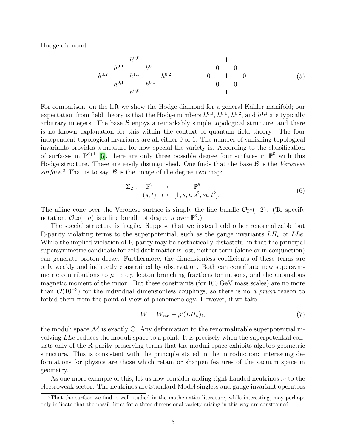Hodge diamond

$$
h^{0,1} \t h^{0,0} \t h^{0,1} \t h^{0,1} \t h^{0,2} \t 0 \t 1 \t 0 \t 0 \t 1 \t 0 \t (5) h^{0,1} \t h^{0,0} \t 1
$$

For comparison, on the left we show the Hodge diamond for a general Kähler manifold; our expectation from field theory is that the Hodge numbers  $h^{0,0}$ ,  $h^{0,1}$ ,  $h^{0,2}$ , and  $h^{1,1}$  are typically arbitrary integers. The base  $\beta$  enjoys a remarkably simple topological structure, and there is no known explanation for this within the context of quantum field theory. The four independent topological invariants are all either 0 or 1. The number of vanishing topological invariants provides a measure for how special the variety is. According to the classification of surfaces in  $\mathbb{P}^{d+1}$  [\[6\]](#page-8-5), there are only three possible degree four surfaces in  $\mathbb{P}^5$  with this Hodge structure. These are easily distinguished. One finds that the base  $\beta$  is the Veronese surface.<sup>3</sup> That is to say,  $\beta$  is the image of the degree two map:

$$
\Sigma_2: \begin{array}{c} \mathbb{P}^2 \to \mathbb{P}^5\\ (s,t) \mapsto [1,s,t,s^2,st,t^2]. \end{array} \tag{6}
$$

The affine cone over the Veronese surface is simply the line bundle  $\mathcal{O}_{\mathbb{P}^2}(-2)$ . (To specify notation,  $\mathcal{O}_{\mathbb{P}^2}(-n)$  is a line bundle of degree n over  $\mathbb{P}^2$ .)

The special structure is fragile. Suppose that we instead add other renormalizable but R-parity violating terms to the superpotential, such as the gauge invariants  $LH_u$  or  $LLe$ . While the implied violation of R-parity may be aesthetically distasteful in that the principal supersymmetric candidate for cold dark matter is lost, neither term (alone or in conjunction) can generate proton decay. Furthermore, the dimensionless coefficients of these terms are only weakly and indirectly constrained by observation. Both can contribute new supersymmetric contributions to  $\mu \to e\gamma$ , lepton branching fractions for mesons, and the anomalous magnetic moment of the muon. But these constraints (for 100 GeV mass scales) are no more than  $\mathcal{O}(10^{-3})$  for the individual dimensionless couplings, so there is no a priori reason to forbid them from the point of view of phenomenology. However, if we take

$$
W = W_{\text{ren}} + \rho^i (L H_u)_i,\tag{7}
$$

the moduli space  $\mathcal M$  is exactly  $\mathbb C$ . Any deformation to the renormalizable superpotential involving LLe reduces the moduli space to a point. It is precisely when the superpotential consists only of the R-parity preserving terms that the moduli space exhibits algebro-geometric structure. This is consistent with the principle stated in the introduction: interesting deformations for physics are those which retain or sharpen features of the vacuum space in geometry.

As one more example of this, let us now consider adding right-handed neutrinos  $\nu_i$  to the electroweak sector. The neutrinos are Standard Model singlets and gauge invariant operators

 $3$ That the surface we find is well studied in the mathematics literature, while interesting, may perhaps only indicate that the possibilities for a three-dimensional variety arising in this way are constrained.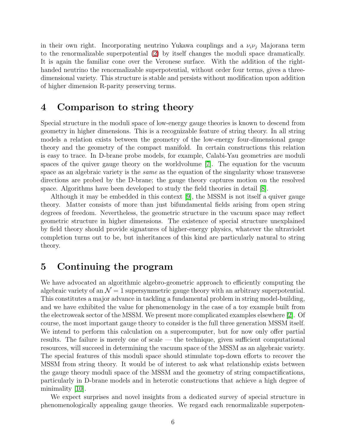in their own right. Incorporating neutrino Yukawa couplings and a  $\nu_i \nu_j$  Majorana term to the renormalizable superpotential [\(2\)](#page-4-0) by itself changes the moduli space dramatically. It is again the familiar cone over the Veronese surface. With the addition of the righthanded neutrino the renormalizable superpotential, without order four terms, gives a threedimensional variety. This structure is stable and persists without modification upon addition of higher dimension R-parity preserving terms.

#### 4 Comparison to string theory

Special structure in the moduli space of low-energy gauge theories is known to descend from geometry in higher dimensions. This is a recognizable feature of string theory. In all string models a relation exists between the geometry of the low-energy four-dimensional gauge theory and the geometry of the compact manifold. In certain constructions this relation is easy to trace. In D-brane probe models, for example, Calabi-Yau geometries are moduli spaces of the quiver gauge theory on the worldvolume [\[7\]](#page-8-6). The equation for the vacuum space as an algebraic variety is the *same* as the equation of the singularity whose transverse directions are probed by the D-brane; the gauge theory captures motion on the resolved space. Algorithms have been developed to study the field theories in detail [\[8\]](#page-8-7).

Although it may be embedded in this context [\[9\]](#page-8-8), the MSSM is not itself a quiver gauge theory. Matter consists of more than just bifundamental fields arising from open string degrees of freedom. Nevertheless, the geometric structure in the vacuum space may reflect geometric structure in higher dimensions. The existence of special structure unexplained by field theory should provide signatures of higher-energy physics, whatever the ultraviolet completion turns out to be, but inheritances of this kind are particularly natural to string theory.

#### 5 Continuing the program

We have advocated an algorithmic algebro-geometric approach to efficiently computing the algebraic variety of an  $\mathcal{N} = 1$  supersymmetric gauge theory with an arbitrary superpotential. This constitutes a major advance in tackling a fundamental problem in string model-building, and we have exhibited the value for phenomenology in the case of a toy example built from the electroweak sector of the MSSM. We present more complicated examples elsewhere [\[2\]](#page-8-1). Of course, the most important gauge theory to consider is the full three generation MSSM itself. We intend to perform this calculation on a supercomputer, but for now only offer partial results. The failure is merely one of scale — the technique, given sufficient computational resources, will succeed in determining the vacuum space of the MSSM as an algebraic variety. The special features of this moduli space should stimulate top-down efforts to recover the MSSM from string theory. It would be of interest to ask what relationship exists between the gauge theory moduli space of the MSSM and the geometry of string compactifications, particularly in D-brane models and in heterotic constructions that achieve a high degree of minimality [\[10\]](#page-8-9).

We expect surprises and novel insights from a dedicated survey of special structure in phenomenologically appealing gauge theories. We regard each renormalizable superpoten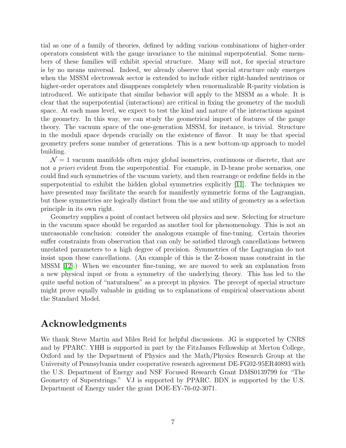tial as one of a family of theories, defined by adding various combinations of higher-order operators consistent with the gauge invariance to the minimal superpotential. Some members of these families will exhibit special structure. Many will not, for special structure is by no means universal. Indeed, we already observe that special structure only emerges when the MSSM electroweak sector is extended to include either right-handed neutrinos or higher-order operators and disappears completely when renormalizable R-parity violation is introduced. We anticipate that similar behavior will apply to the MSSM as a whole. It is clear that the superpotential (interactions) are critical in fixing the geometry of the moduli space. At each mass level, we expect to test the kind and nature of the interactions against the geometry. In this way, we can study the geometrical import of features of the gauge theory. The vacuum space of the one-generation MSSM, for instance, is trivial. Structure in the moduli space depends crucially on the existence of flavor. It may be that special geometry prefers some number of generations. This is a new bottom-up approach to model building.

 $\mathcal{N}=1$  vacuum manifolds often enjoy global isometries, continuous or discrete, that are not *a priori* evident from the superpotential. For example, in D-brane probe scenarios, one could find such symmetries of the vacuum variety, and then rearrange or redefine fields in the superpotential to exhibit the hidden global symmetries explicitly [\[11\]](#page-8-10). The techniques we have presented may facilitate the search for manifestly symmetric forms of the Lagrangian, but these symmetries are logically distinct from the use and utility of geometry as a selection principle in its own right.

Geometry supplies a point of contact between old physics and new. Selecting for structure in the vacuum space should be regarded as another tool for phenomenology. This is not an unreasonable conclusion: consider the analogous example of fine-tuning. Certain theories suffer constraints from observation that can only be satisfied through cancellations between unrelated parameters to a high degree of precision. Symmetries of the Lagrangian do not insist upon these cancellations. (An example of this is the Z-boson mass constraint in the MSSM [\[12\]](#page-8-11).) When we encounter fine-tuning, we are moved to seek an explanation from a new physical input or from a symmetry of the underlying theory. This has led to the quite useful notion of "naturalness" as a precept in physics. The precept of special structure might prove equally valuable in guiding us to explanations of empirical observations about the Standard Model.

#### Acknowledgments

We thank Steve Martin and Miles Reid for helpful discussions. JG is supported by CNRS and by PPARC. YHH is supported in part by the FitzJames Fellowship at Merton College, Oxford and by the Department of Physics and the Math/Physics Research Group at the University of Pennsylvania under cooperative research agreement DE-FG02-95ER40893 with the U.S. Department of Energy and NSF Focused Research Grant DMS0139799 for "The Geometry of Superstrings." VJ is supported by PPARC. BDN is supported by the U.S. Department of Energy under the grant DOE-EY-76-02-3071.